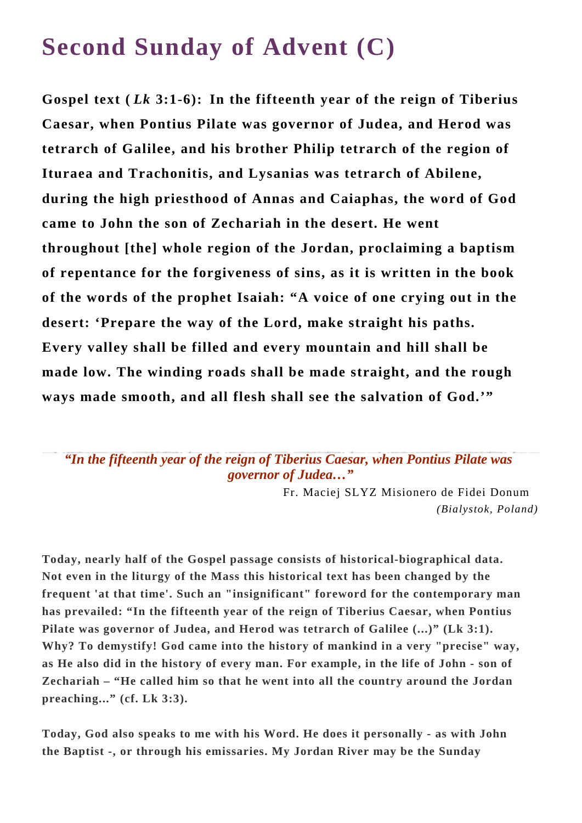## **Second Sunday of Advent (C)**

**Gospel text (** *Lk* **3:1-6): In the fifteenth year of the reign of Tiberius Caesar, when Pontius Pilate was governor of Judea, and Herod was tetrarch of Galilee, and his brother Philip tetrarch of the region of Ituraea and Trachonitis, and Lysanias was tetrarch of Abilene, during the high priesthood of Annas and Caiaphas, the word of God came to John the son of Zechariah in the desert. He went throughout [the] whole region of the Jordan, proclaiming a baptism of repentance for the forgiveness of sins, as it is written in the book of the words of the prophet Isaiah: "A voice of one crying out in the desert: 'Prepare the way of the Lord, make straight his paths. Every valley shall be filled and every mountain and hill shall be made low. The winding roads shall be made straight, and the rough ways made smooth, and all flesh shall see the salvation of God.'"**

*"In the fifteenth year of the reign of Tiberius Caesar, when Pontius Pilate was governor of Judea…"*

> Fr. Maciej SLYZ Misionero de Fidei Donum *(Bialystok, Poland)*

**Today, nearly half of the Gospel passage consists of historical-biographical data. Not even in the liturgy of the Mass this historical text has been changed by the frequent 'at that time'. Such an "insignificant" foreword for the contemporary man has prevailed: "In the fifteenth year of the reign of Tiberius Caesar, when Pontius**  Pilate was governor of Judea, and Herod was tetrarch of Galilee (...)" (Lk 3:1). **Why? To demystify! God came into the history of mankind in a very "precise" way, as He also did in the history of every man. For example, in the life of John - son of Zechariah – "He called him so that he went into all the country around the Jordan preaching..." (cf. Lk 3:3).**

**Today, God also speaks to me with his Word. He does it personally - as with John the Baptist -, or through his emissaries. My Jordan River may be the Sunday**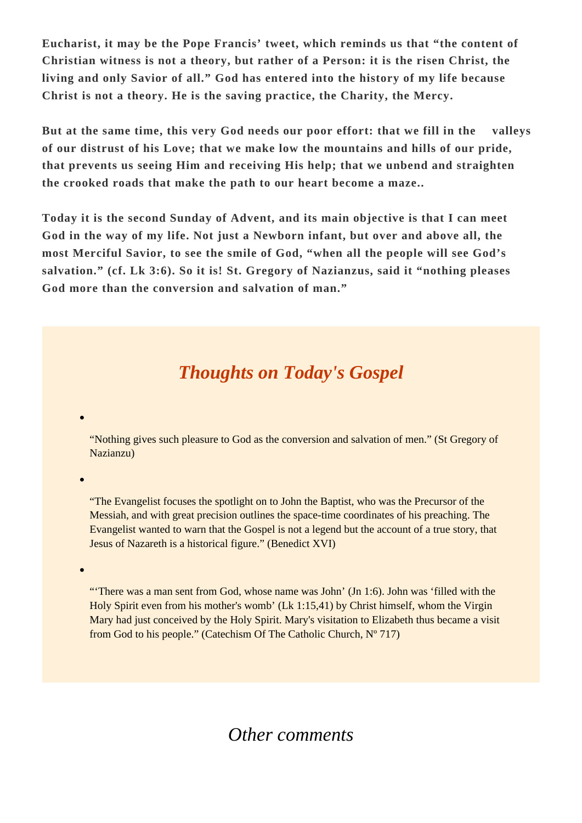**Eucharist, it may be the Pope Francis' tweet, which reminds us that "the content of Christian witness is not a theory, but rather of a Person: it is the risen Christ, the living and only Savior of all." God has entered into the history of my life because Christ is not a theory. He is the saving practice, the Charity, the Mercy.** 

**But at the same time, this very God needs our poor effort: that we fill in the valleys of our distrust of his Love; that we make low the mountains and hills of our pride, that prevents us seeing Him and receiving His help; that we unbend and straighten the crooked roads that make the path to our heart become a maze..**

**Today it is the second Sunday of Advent, and its main objective is that I can meet God in the way of my life. Not just a Newborn infant, but over and above all, the most Merciful Savior, to see the smile of God, "when all the people will see God's salvation." (cf. Lk 3:6). So it is! St. Gregory of Nazianzus, said it "nothing pleases God more than the conversion and salvation of man."**

## *Thoughts on Today's Gospel*

"Nothing gives such pleasure to God as the conversion and salvation of men." (St Gregory of Nazianzu)

"The Evangelist focuses the spotlight on to John the Baptist, who was the Precursor of the Messiah, and with great precision outlines the space-time coordinates of his preaching. The Evangelist wanted to warn that the Gospel is not a legend but the account of a true story, that Jesus of Nazareth is a historical figure." (Benedict XVI)

"'There was a man sent from God, whose name was John' (Jn 1:6). John was 'filled with the Holy Spirit even from his mother's womb' (Lk 1:15,41) by Christ himself, whom the Virgin Mary had just conceived by the Holy Spirit. Mary's visitation to Elizabeth thus became a visit from God to his people." (Catechism Of The Catholic Church, Nº 717)

*Other comments*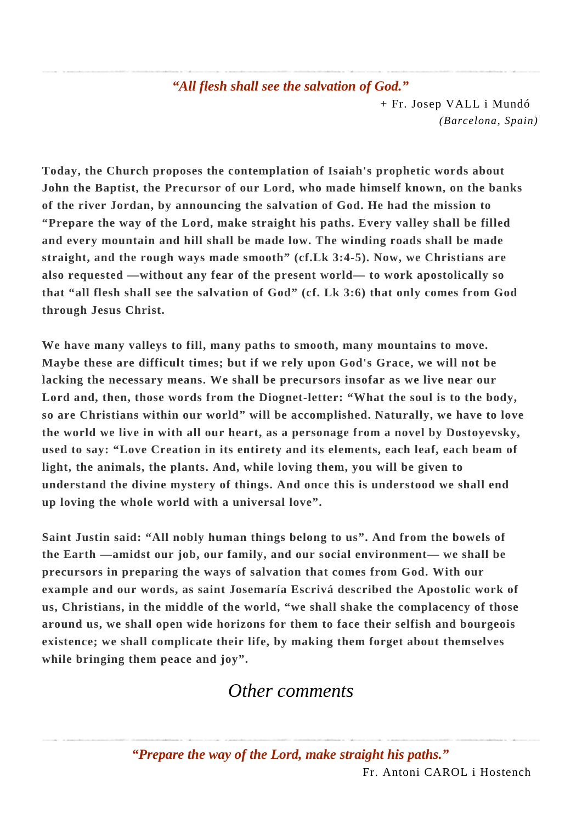## *"All flesh shall see the salvation of God."* + Fr. Josep VALL i Mundó *(Barcelona, Spain)*

**Today, the Church proposes the contemplation of Isaiah's prophetic words about John the Baptist, the Precursor of our Lord, who made himself known, on the banks of the river Jordan, by announcing the salvation of God. He had the mission to "Prepare the way of the Lord, make straight his paths. Every valley shall be filled and every mountain and hill shall be made low. The winding roads shall be made straight, and the rough ways made smooth" (cf.Lk 3:4-5). Now, we Christians are also requested —without any fear of the present world— to work apostolically so that "all flesh shall see the salvation of God" (cf. Lk 3:6) that only comes from God through Jesus Christ.**

**We have many valleys to fill, many paths to smooth, many mountains to move. Maybe these are difficult times; but if we rely upon God's Grace, we will not be lacking the necessary means. We shall be precursors insofar as we live near our Lord and, then, those words from the Diognet-letter: "What the soul is to the body, so are Christians within our world" will be accomplished. Naturally, we have to love the world we live in with all our heart, as a personage from a novel by Dostoyevsky, used to say: "Love Creation in its entirety and its elements, each leaf, each beam of light, the animals, the plants. And, while loving them, you will be given to understand the divine mystery of things. And once this is understood we shall end up loving the whole world with a universal love".**

**Saint Justin said: "All nobly human things belong to us". And from the bowels of the Earth —amidst our job, our family, and our social environment— we shall be precursors in preparing the ways of salvation that comes from God. With our example and our words, as saint Josemaría Escrivá described the Apostolic work of us, Christians, in the middle of the world, "we shall shake the complacency of those around us, we shall open wide horizons for them to face their selfish and bourgeois existence; we shall complicate their life, by making them forget about themselves while bringing them peace and joy".**

## *Other comments*